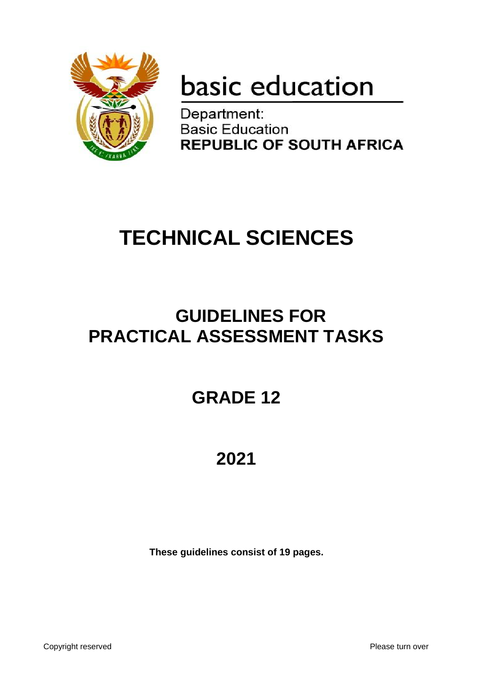

# basic education

Department: **Basic Education REPUBLIC OF SOUTH AFRICA** 

## **TECHNICAL SCIENCES**

## **GUIDELINES FOR PRACTICAL ASSESSMENT TASKS**

## **GRADE 12**

## **2021**

**These guidelines consist of 19 pages.**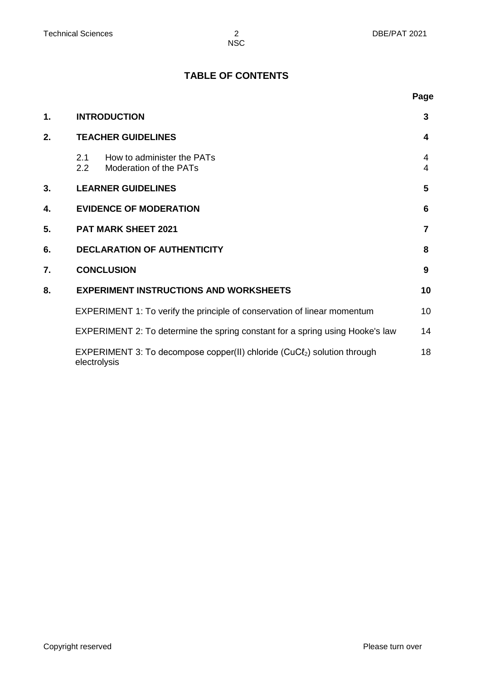**Page**

**NSC** 

#### **TABLE OF CONTENTS**

| 1. | <b>INTRODUCTION</b>                                                                                  | 3      |
|----|------------------------------------------------------------------------------------------------------|--------|
| 2. | <b>TEACHER GUIDELINES</b>                                                                            | 4      |
|    | How to administer the PATs<br>2.1<br>$2.2\phantom{0}$<br>Moderation of the PATs                      | 4<br>4 |
| 3. | <b>LEARNER GUIDELINES</b>                                                                            | 5      |
| 4. | <b>EVIDENCE OF MODERATION</b>                                                                        | 6      |
| 5. | <b>PAT MARK SHEET 2021</b>                                                                           | 7      |
| 6. | <b>DECLARATION OF AUTHENTICITY</b>                                                                   | 8      |
| 7. | <b>CONCLUSION</b>                                                                                    | 9      |
| 8. | <b>EXPERIMENT INSTRUCTIONS AND WORKSHEETS</b>                                                        | 10     |
|    | EXPERIMENT 1: To verify the principle of conservation of linear momentum                             | 10     |
|    | EXPERIMENT 2: To determine the spring constant for a spring using Hooke's law                        | 14     |
|    | EXPERIMENT 3: To decompose copper(II) chloride (CuCl <sub>2</sub> ) solution through<br>electrolysis | 18     |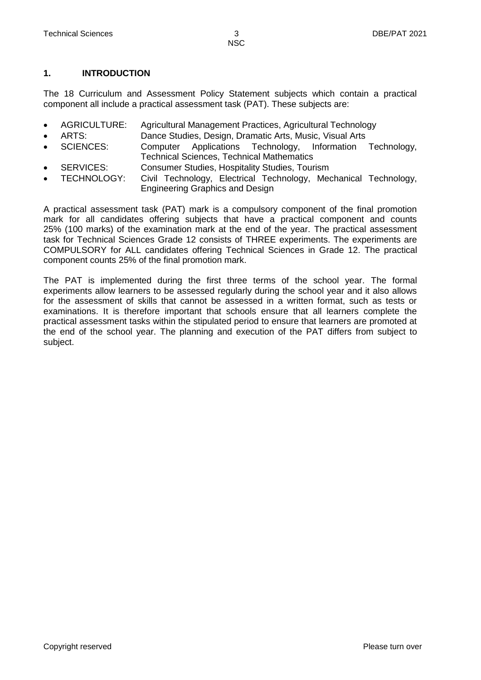#### **1. INTRODUCTION**

The 18 Curriculum and Assessment Policy Statement subjects which contain a practical component all include a practical assessment task (PAT). These subjects are:

- AGRICULTURE: Agricultural Management Practices, Agricultural Technology
	- ARTS: Dance Studies, Design, Dramatic Arts, Music, Visual Arts
- SCIENCES: Computer Applications Technology, Information Technology, Technical Sciences, Technical Mathematics
- SERVICES: Consumer Studies, Hospitality Studies, Tourism
- TECHNOLOGY: Civil Technology, Electrical Technology, Mechanical Technology, Engineering Graphics and Design

A practical assessment task (PAT) mark is a compulsory component of the final promotion mark for all candidates offering subjects that have a practical component and counts 25% (100 marks) of the examination mark at the end of the year. The practical assessment task for Technical Sciences Grade 12 consists of THREE experiments. The experiments are COMPULSORY for ALL candidates offering Technical Sciences in Grade 12. The practical component counts 25% of the final promotion mark.

The PAT is implemented during the first three terms of the school year. The formal experiments allow learners to be assessed regularly during the school year and it also allows for the assessment of skills that cannot be assessed in a written format, such as tests or examinations. It is therefore important that schools ensure that all learners complete the practical assessment tasks within the stipulated period to ensure that learners are promoted at the end of the school year. The planning and execution of the PAT differs from subject to subject.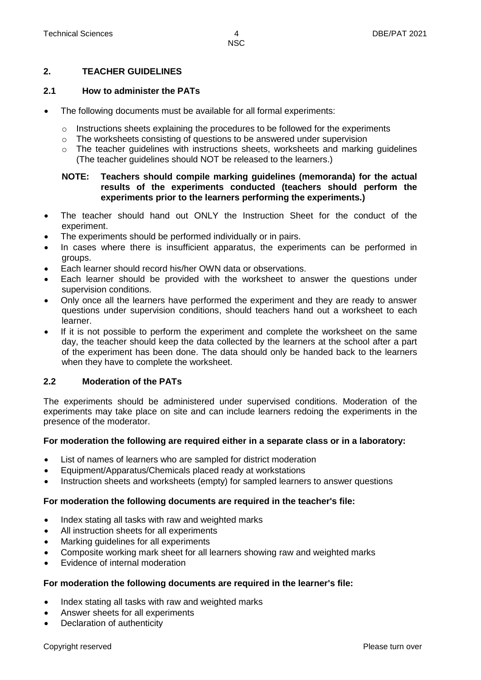#### **2. TEACHER GUIDELINES**

#### **2.1 How to administer the PATs**

- The following documents must be available for all formal experiments:
	- $\circ$  Instructions sheets explaining the procedures to be followed for the experiments
	- $\circ$  The worksheets consisting of questions to be answered under supervision
	- $\circ$  The teacher quidelines with instructions sheets, worksheets and marking quidelines (The teacher guidelines should NOT be released to the learners.)

#### **NOTE: Teachers should compile marking guidelines (memoranda) for the actual results of the experiments conducted (teachers should perform the experiments prior to the learners performing the experiments.)**

- The teacher should hand out ONLY the Instruction Sheet for the conduct of the experiment.
- The experiments should be performed individually or in pairs.
- In cases where there is insufficient apparatus, the experiments can be performed in groups.
- Each learner should record his/her OWN data or observations.
- Each learner should be provided with the worksheet to answer the questions under supervision conditions.
- Only once all the learners have performed the experiment and they are ready to answer questions under supervision conditions, should teachers hand out a worksheet to each learner.
- If it is not possible to perform the experiment and complete the worksheet on the same day, the teacher should keep the data collected by the learners at the school after a part of the experiment has been done. The data should only be handed back to the learners when they have to complete the worksheet.

#### **2.2 Moderation of the PATs**

The experiments should be administered under supervised conditions. Moderation of the experiments may take place on site and can include learners redoing the experiments in the presence of the moderator.

#### **For moderation the following are required either in a separate class or in a laboratory:**

- List of names of learners who are sampled for district moderation
- Equipment/Apparatus/Chemicals placed ready at workstations
- Instruction sheets and worksheets (empty) for sampled learners to answer questions

#### **For moderation the following documents are required in the teacher's file:**

- Index stating all tasks with raw and weighted marks
- All instruction sheets for all experiments
- Marking guidelines for all experiments
- Composite working mark sheet for all learners showing raw and weighted marks
- Evidence of internal moderation

#### **For moderation the following documents are required in the learner's file:**

- Index stating all tasks with raw and weighted marks
- Answer sheets for all experiments
- Declaration of authenticity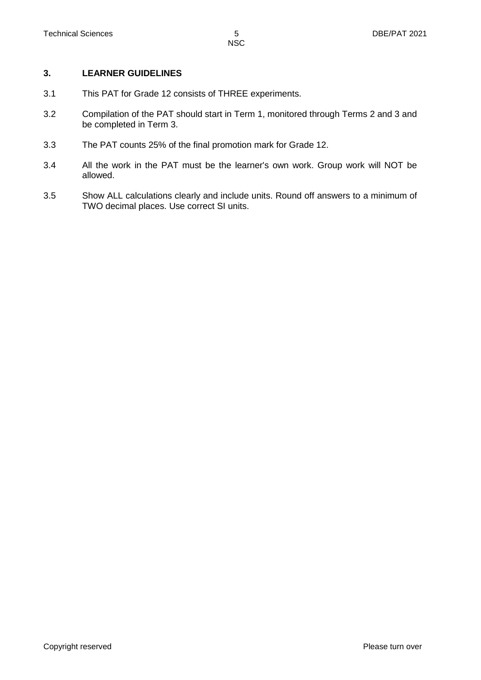#### **3. LEARNER GUIDELINES**

- 3.1 This PAT for Grade 12 consists of THREE experiments.
- 3.2 Compilation of the PAT should start in Term 1, monitored through Terms 2 and 3 and be completed in Term 3.
- 3.3 The PAT counts 25% of the final promotion mark for Grade 12.
- 3.4 All the work in the PAT must be the learner's own work. Group work will NOT be allowed.
- 3.5 Show ALL calculations clearly and include units. Round off answers to a minimum of TWO decimal places. Use correct SI units.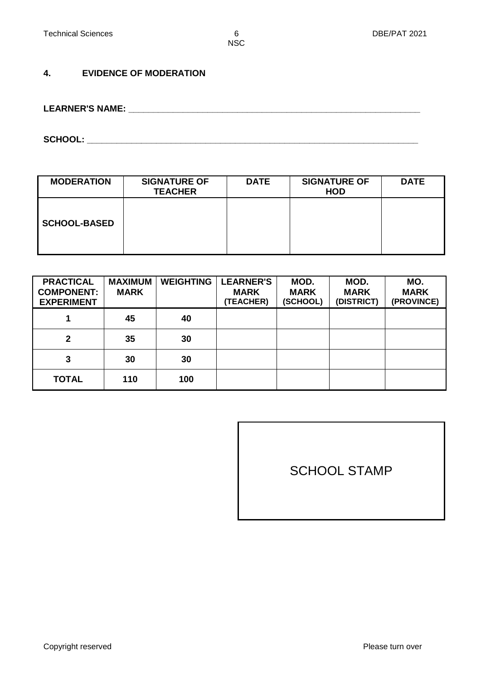#### **4. EVIDENCE OF MODERATION**

**LEARNER'S NAME: \_\_\_\_\_\_\_\_\_\_\_\_\_\_\_\_\_\_\_\_\_\_\_\_\_\_\_\_\_\_\_\_\_\_\_\_\_\_\_\_\_\_\_\_\_\_\_\_\_\_\_\_\_\_\_\_\_\_\_**

**SCHOOL: \_\_\_\_\_\_\_\_\_\_\_\_\_\_\_\_\_\_\_\_\_\_\_\_\_\_\_\_\_\_\_\_\_\_\_\_\_\_\_\_\_\_\_\_\_\_\_\_\_\_\_\_\_\_\_\_\_\_\_\_\_\_\_\_\_\_\_**

| <b>MODERATION</b>   | <b>SIGNATURE OF</b><br><b>TEACHER</b> | <b>DATE</b> | <b>SIGNATURE OF</b><br><b>HOD</b> | <b>DATE</b> |
|---------------------|---------------------------------------|-------------|-----------------------------------|-------------|
| <b>SCHOOL-BASED</b> |                                       |             |                                   |             |

| <b>PRACTICAL</b><br><b>COMPONENT:</b><br><b>EXPERIMENT</b> | <b>MAXIMUM</b><br><b>MARK</b> | <b>WEIGHTING</b> | <b>LEARNER'S</b><br><b>MARK</b><br><b>(TEACHER)</b> | MOD.<br><b>MARK</b><br>(SCHOOL) | MOD.<br><b>MARK</b><br>(DISTRICT) | MO.<br><b>MARK</b><br>(PROVINCE) |
|------------------------------------------------------------|-------------------------------|------------------|-----------------------------------------------------|---------------------------------|-----------------------------------|----------------------------------|
|                                                            | 45                            | 40               |                                                     |                                 |                                   |                                  |
| $\mathbf{2}$                                               | 35                            | 30               |                                                     |                                 |                                   |                                  |
| 3                                                          | 30                            | 30               |                                                     |                                 |                                   |                                  |
| <b>TOTAL</b>                                               | 110                           | 100              |                                                     |                                 |                                   |                                  |

SCHOOL STAMP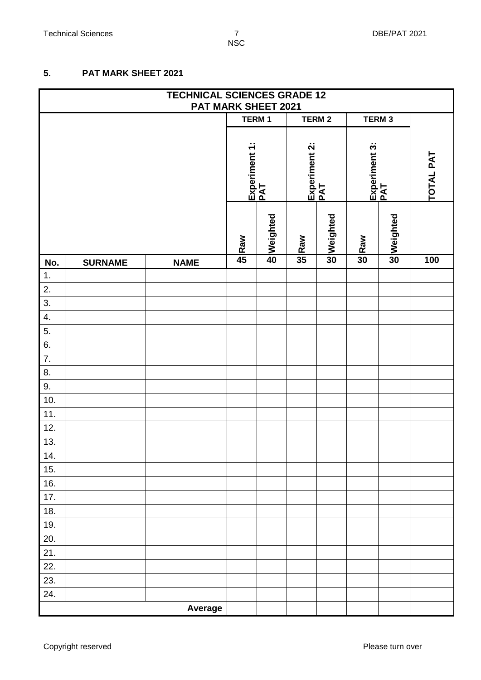#### **5. PAT MARK SHEET 2021**

|                  | <b>TECHNICAL SCIENCES GRADE 12</b><br>PAT MARK SHEET 2021 |             |              |                      |                 |                      |     |                      |           |
|------------------|-----------------------------------------------------------|-------------|--------------|----------------------|-----------------|----------------------|-----|----------------------|-----------|
|                  |                                                           |             | <b>TERM1</b> |                      |                 | <b>TERM2</b>         |     | TERM <sub>3</sub>    |           |
|                  |                                                           |             |              | Experiment 1:<br>PAT |                 | Experiment 2:<br>PAT |     | Experiment 3:<br>PAT | TOTAL PAT |
|                  |                                                           |             | Raw          | beighted             | Raw             | solveighted          | Raw | Solveighted          |           |
| No.              | <b>SURNAME</b>                                            | <b>NAME</b> | 45           |                      | $\overline{35}$ |                      | 30  |                      | 100       |
| $\mathbf{1}$ .   |                                                           |             |              |                      |                 |                      |     |                      |           |
| 2.               |                                                           |             |              |                      |                 |                      |     |                      |           |
| $\overline{3}$ . |                                                           |             |              |                      |                 |                      |     |                      |           |
| 4.               |                                                           |             |              |                      |                 |                      |     |                      |           |
| 5.<br>6.         |                                                           |             |              |                      |                 |                      |     |                      |           |
| $\overline{7}$ . |                                                           |             |              |                      |                 |                      |     |                      |           |
| 8.               |                                                           |             |              |                      |                 |                      |     |                      |           |
| 9.               |                                                           |             |              |                      |                 |                      |     |                      |           |
| 10.              |                                                           |             |              |                      |                 |                      |     |                      |           |
| 11.              |                                                           |             |              |                      |                 |                      |     |                      |           |
| 12.              |                                                           |             |              |                      |                 |                      |     |                      |           |
| 13.              |                                                           |             |              |                      |                 |                      |     |                      |           |
| 14.              |                                                           |             |              |                      |                 |                      |     |                      |           |
| 15.              |                                                           |             |              |                      |                 |                      |     |                      |           |
| 16.              |                                                           |             |              |                      |                 |                      |     |                      |           |
| 17.              |                                                           |             |              |                      |                 |                      |     |                      |           |
| 18.              |                                                           |             |              |                      |                 |                      |     |                      |           |
| 19.              |                                                           |             |              |                      |                 |                      |     |                      |           |
| 20.              |                                                           |             |              |                      |                 |                      |     |                      |           |
| 21.              |                                                           |             |              |                      |                 |                      |     |                      |           |
| 22.              |                                                           |             |              |                      |                 |                      |     |                      |           |
| 23.              |                                                           |             |              |                      |                 |                      |     |                      |           |
| 24.              |                                                           |             |              |                      |                 |                      |     |                      |           |
|                  |                                                           | Average     |              |                      |                 |                      |     |                      |           |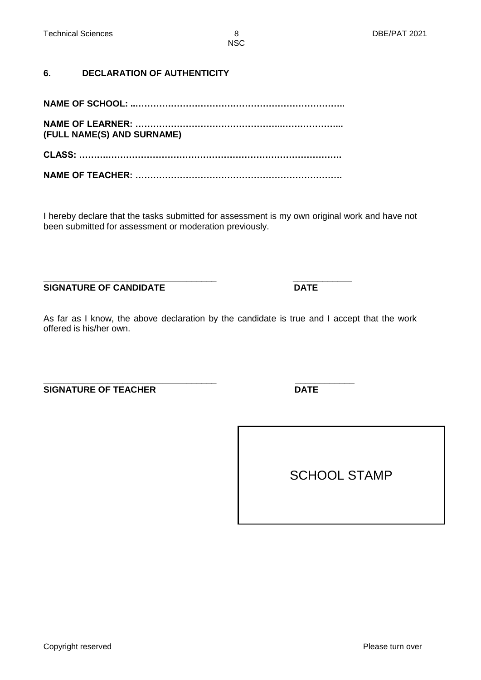**6. DECLARATION OF AUTHENTICITY**

**NAME OF SCHOOL: ..……………………………………………………………..** 

**NAME OF LEARNER: …………………………………………..………………... (FULL NAME(S) AND SURNAME)** 

**CLASS: ……….……………………………………………………………………. NAME OF TEACHER: …………………………………………………………….**

I hereby declare that the tasks submitted for assessment is my own original work and have not been submitted for assessment or moderation previously.

**\_\_\_\_\_\_\_\_\_\_\_\_\_\_\_\_\_\_\_\_\_\_\_\_\_\_\_\_\_\_\_\_\_\_\_ \_\_\_\_\_\_\_\_\_\_\_\_ SIGNATURE OF CANDIDATE** DATE

As far as I know, the above declaration by the candidate is true and I accept that the work offered is his/her own.

**\_\_\_\_\_\_\_\_\_\_\_\_\_\_\_\_\_\_\_\_\_\_\_\_\_\_\_\_\_\_\_\_\_\_\_ \_\_\_\_\_\_\_\_\_\_\_\_ SIGNATURE OF TEACHER DATE** 

SCHOOL STAMP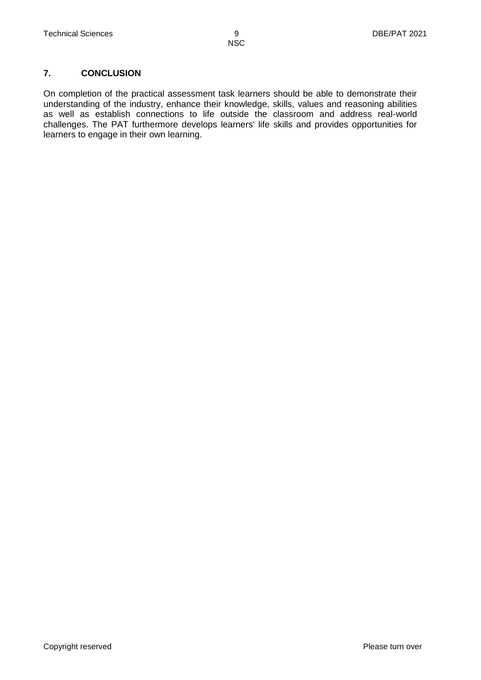#### **7. CONCLUSION**

On completion of the practical assessment task learners should be able to demonstrate their understanding of the industry, enhance their knowledge, skills, values and reasoning abilities as well as establish connections to life outside the classroom and address real-world challenges. The PAT furthermore develops learners' life skills and provides opportunities for learners to engage in their own learning.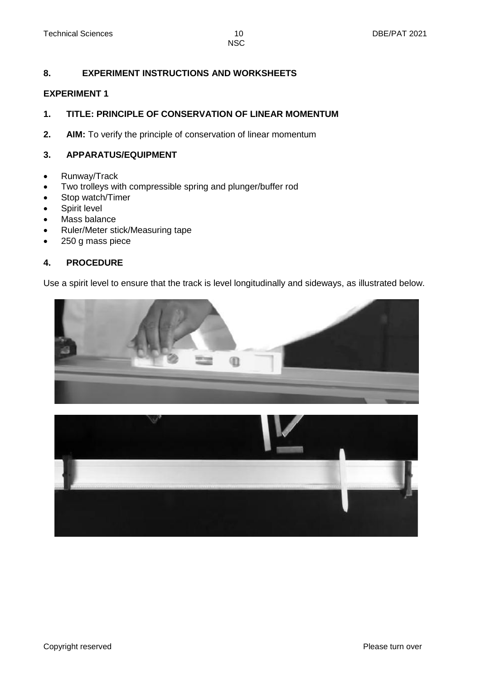#### **8. EXPERIMENT INSTRUCTIONS AND WORKSHEETS**

#### **EXPERIMENT 1**

#### **1. TITLE: PRINCIPLE OF CONSERVATION OF LINEAR MOMENTUM**

**2. AIM:** To verify the principle of conservation of linear momentum

#### **3. APPARATUS/EQUIPMENT**

- Runway/Track
- Two trolleys with compressible spring and plunger/buffer rod
- Stop watch/Timer
- Spirit level
- Mass balance
- Ruler/Meter stick/Measuring tape
- 250 g mass piece

#### **4. PROCEDURE**

Use a spirit level to ensure that the track is level longitudinally and sideways, as illustrated below.



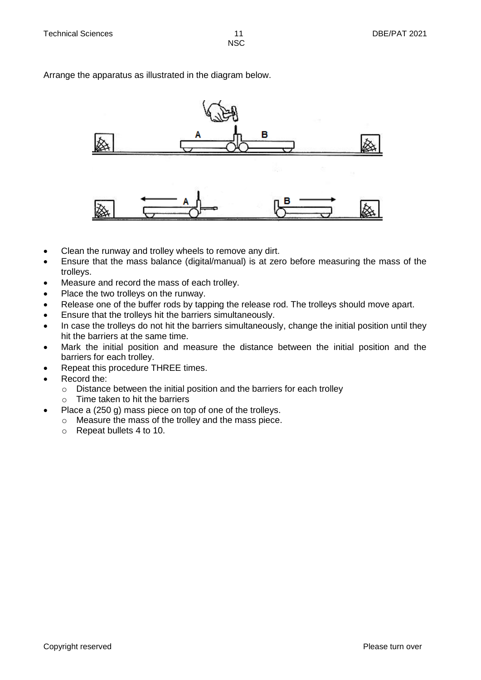Arrange the apparatus as illustrated in the diagram below.



- Clean the runway and trolley wheels to remove any dirt.
- Ensure that the mass balance (digital/manual) is at zero before measuring the mass of the trolleys.
- Measure and record the mass of each trolley.
- Place the two trolleys on the runway.
- Release one of the buffer rods by tapping the release rod. The trolleys should move apart.
- Ensure that the trolleys hit the barriers simultaneously.
- In case the trolleys do not hit the barriers simultaneously, change the initial position until they hit the barriers at the same time.
- Mark the initial position and measure the distance between the initial position and the barriers for each trolley.
- Repeat this procedure THREE times.
- Record the:
	- o Distance between the initial position and the barriers for each trolley
	- o Time taken to hit the barriers
- Place a (250 g) mass piece on top of one of the trolleys.
	- o Measure the mass of the trolley and the mass piece.
		- o Repeat bullets 4 to 10.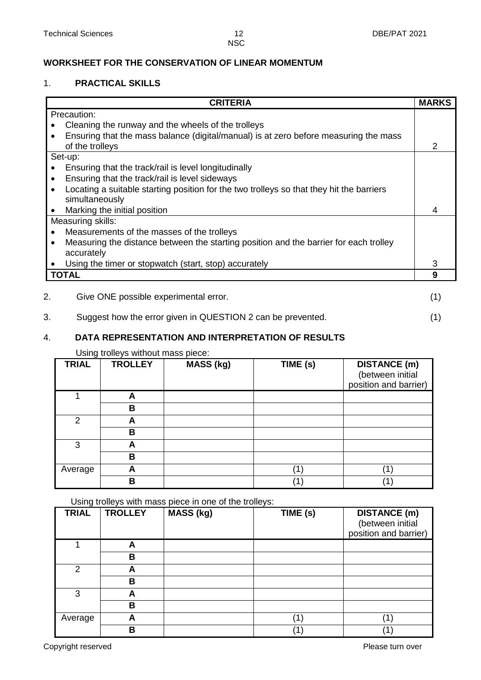#### **WORKSHEET FOR THE CONSERVATION OF LINEAR MOMENTUM**

#### 1. **PRACTICAL SKILLS**

| <b>CRITERIA</b>                                                                                       | <b>MARKS</b> |
|-------------------------------------------------------------------------------------------------------|--------------|
| Precaution:                                                                                           |              |
| Cleaning the runway and the wheels of the trolleys                                                    |              |
| Ensuring that the mass balance (digital/manual) is at zero before measuring the mass<br>$\bullet$     |              |
| of the trolleys                                                                                       | 2            |
| Set-up:                                                                                               |              |
| Ensuring that the track/rail is level longitudinally                                                  |              |
| Ensuring that the track/rail is level sideways<br>$\bullet$                                           |              |
| Locating a suitable starting position for the two trolleys so that they hit the barriers<br>$\bullet$ |              |
| simultaneously                                                                                        |              |
| Marking the initial position<br>$\bullet$                                                             | 4            |
| Measuring skills:                                                                                     |              |
| Measurements of the masses of the trolleys<br>$\bullet$                                               |              |
| Measuring the distance between the starting position and the barrier for each trolley<br>$\bullet$    |              |
| accurately                                                                                            |              |
| Using the timer or stopwatch (start, stop) accurately                                                 | 3            |
| <b>TOTAL</b>                                                                                          | 9            |
|                                                                                                       |              |
| 2.<br>Give ONE possible experimental error.                                                           | (1           |

### 3. Suggest how the error given in QUESTION 2 can be prevented. (1)

#### 4. **DATA REPRESENTATION AND INTERPRETATION OF RESULTS**

Using trolleys without mass piece:

| <b>TRIAL</b> | <b>TROLLEY</b> | <b>MASS (kg)</b> | TIME (s) | <b>DISTANCE</b> (m)<br>(between initial<br>position and barrier) |
|--------------|----------------|------------------|----------|------------------------------------------------------------------|
|              |                |                  |          |                                                                  |
|              | в              |                  |          |                                                                  |
| 2            | A              |                  |          |                                                                  |
|              | в              |                  |          |                                                                  |
| 3            | A              |                  |          |                                                                  |
|              | в              |                  |          |                                                                  |
| Average      | A              |                  |          | 1                                                                |
|              | в              |                  |          |                                                                  |

Using trolleys with mass piece in one of the trolleys:

| ັ<br><b>TRIAL</b> | <b>TROLLEY</b> | <b>MASS (kg)</b> | $\overline{T}$ IME $(s)$ | <b>DISTANCE (m)</b><br>(between initial<br>position and barrier) |
|-------------------|----------------|------------------|--------------------------|------------------------------------------------------------------|
|                   | A              |                  |                          |                                                                  |
|                   | в              |                  |                          |                                                                  |
| $\overline{2}$    | А              |                  |                          |                                                                  |
|                   | в              |                  |                          |                                                                  |
| 3                 | A              |                  |                          |                                                                  |
|                   | в              |                  |                          |                                                                  |
| Average           | A              |                  | (1)                      | (1)                                                              |
|                   | В              |                  |                          |                                                                  |

Copyright reserved **Please** turn over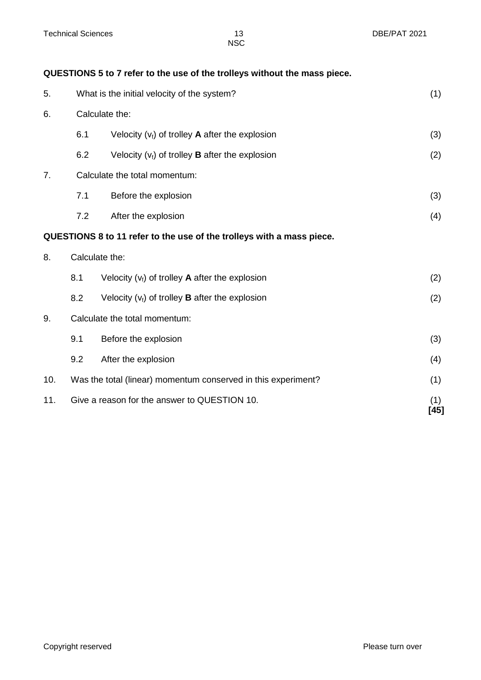| QUESTIONS 5 to 7 refer to the use of the trolleys without the mass piece. |  |  |  |
|---------------------------------------------------------------------------|--|--|--|
|---------------------------------------------------------------------------|--|--|--|

| 5.  |     | What is the initial velocity of the system?                           | (1)           |
|-----|-----|-----------------------------------------------------------------------|---------------|
| 6.  |     | Calculate the:                                                        |               |
|     | 6.1 | Velocity $(v_i)$ of trolley <b>A</b> after the explosion              | (3)           |
|     | 6.2 | Velocity $(v_i)$ of trolley <b>B</b> after the explosion              | (2)           |
| 7.  |     | Calculate the total momentum:                                         |               |
|     | 7.1 | Before the explosion                                                  | (3)           |
|     | 7.2 | After the explosion                                                   | (4)           |
|     |     | QUESTIONS 8 to 11 refer to the use of the trolleys with a mass piece. |               |
| 8.  |     | Calculate the:                                                        |               |
|     | 8.1 | Velocity $(v_i)$ of trolley <b>A</b> after the explosion              | (2)           |
|     | 8.2 | Velocity $(v_i)$ of trolley <b>B</b> after the explosion              | (2)           |
| 9.  |     | Calculate the total momentum:                                         |               |
|     | 9.1 | Before the explosion                                                  | (3)           |
|     | 9.2 | After the explosion                                                   | (4)           |
| 10. |     | Was the total (linear) momentum conserved in this experiment?         | (1)           |
| 11. |     | Give a reason for the answer to QUESTION 10.                          | (1)<br>$[45]$ |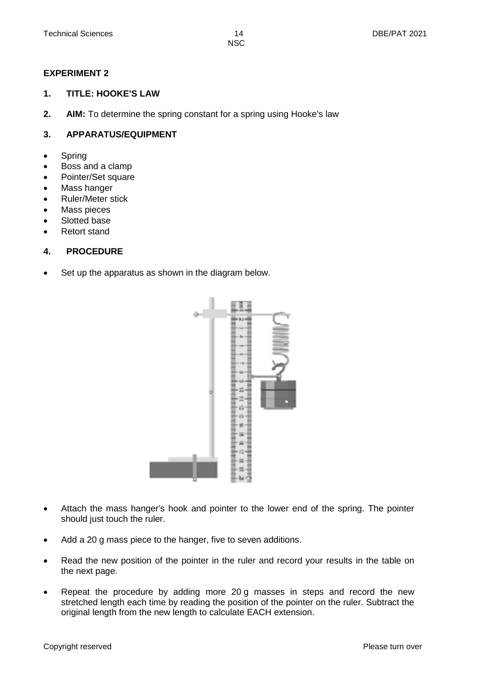#### **EXPERIMENT 2**

#### **1. TITLE: HOOKE'S LAW**

**2. AIM:** To determine the spring constant for a spring using Hooke's law

#### **3. APPARATUS/EQUIPMENT**

- Spring
- Boss and a clamp
- Pointer/Set square
- Mass hanger
- Ruler/Meter stick
- Mass pieces
- Slotted base
- Retort stand

#### **4. PROCEDURE**

• Set up the apparatus as shown in the diagram below.



- Attach the mass hanger's hook and pointer to the lower end of the spring. The pointer should just touch the ruler.
- Add a 20 g mass piece to the hanger, five to seven additions.
- Read the new position of the pointer in the ruler and record your results in the table on the next page.
- Repeat the procedure by adding more 20 g masses in steps and record the new stretched length each time by reading the position of the pointer on the ruler. Subtract the original length from the new length to calculate EACH extension.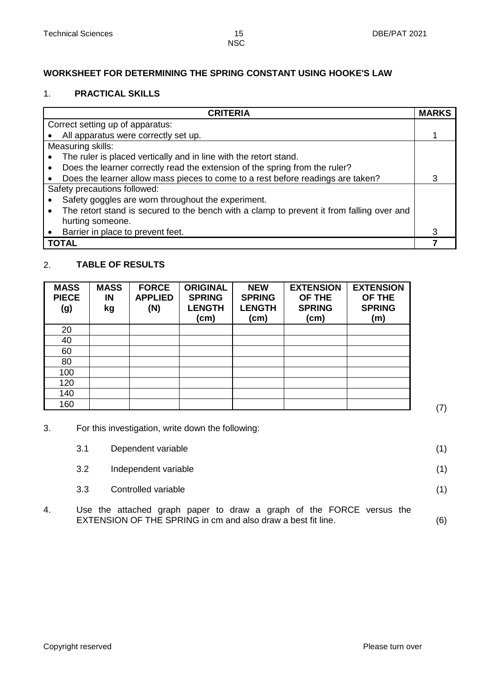#### **WORKSHEET FOR DETERMINING THE SPRING CONSTANT USING HOOKE'S LAW**

#### 1. **PRACTICAL SKILLS**

| <b>CRITERIA</b>                                                                                        | <b>MARKS</b> |
|--------------------------------------------------------------------------------------------------------|--------------|
| Correct setting up of apparatus:                                                                       |              |
| All apparatus were correctly set up.                                                                   |              |
| Measuring skills:                                                                                      |              |
| The ruler is placed vertically and in line with the retort stand.                                      |              |
| Does the learner correctly read the extension of the spring from the ruler?<br>$\bullet$               |              |
| Does the learner allow mass pieces to come to a rest before readings are taken?                        | 3            |
| Safety precautions followed:                                                                           |              |
| Safety goggles are worn throughout the experiment.                                                     |              |
| The retort stand is secured to the bench with a clamp to prevent it from falling over and<br>$\bullet$ |              |
| hurting someone.                                                                                       |              |
| Barrier in place to prevent feet.                                                                      |              |
| TOTAL                                                                                                  |              |

#### 2. **TABLE OF RESULTS**

| <b>MASS</b><br><b>PIECE</b><br>(g) | <b>MASS</b><br>IN<br>kg | <b>FORCE</b><br><b>APPLIED</b><br>(N) | <b>ORIGINAL</b><br><b>SPRING</b><br><b>LENGTH</b><br>(cm) | <b>NEW</b><br><b>SPRING</b><br><b>LENGTH</b><br>(cm) | <b>EXTENSION</b><br>OF THE<br><b>SPRING</b><br>(cm) | <b>EXTENSION</b><br>OF THE<br><b>SPRING</b><br>(m) |
|------------------------------------|-------------------------|---------------------------------------|-----------------------------------------------------------|------------------------------------------------------|-----------------------------------------------------|----------------------------------------------------|
| 20                                 |                         |                                       |                                                           |                                                      |                                                     |                                                    |
| 40                                 |                         |                                       |                                                           |                                                      |                                                     |                                                    |
| 60                                 |                         |                                       |                                                           |                                                      |                                                     |                                                    |
| 80                                 |                         |                                       |                                                           |                                                      |                                                     |                                                    |
| 100                                |                         |                                       |                                                           |                                                      |                                                     |                                                    |
| 120                                |                         |                                       |                                                           |                                                      |                                                     |                                                    |
| 140                                |                         |                                       |                                                           |                                                      |                                                     |                                                    |
| 160                                |                         |                                       |                                                           |                                                      |                                                     |                                                    |

3. For this investigation, write down the following:

|    | 3.1 | Dependent variable                                                                                                                   |     |
|----|-----|--------------------------------------------------------------------------------------------------------------------------------------|-----|
|    | 3.2 | Independent variable                                                                                                                 |     |
|    | 3.3 | Controlled variable                                                                                                                  |     |
| 4. |     | Use the attached graph paper to draw a graph of the FORCE versus the<br>EXTENSION OF THE SPRING in cm and also draw a best fit line. | (6) |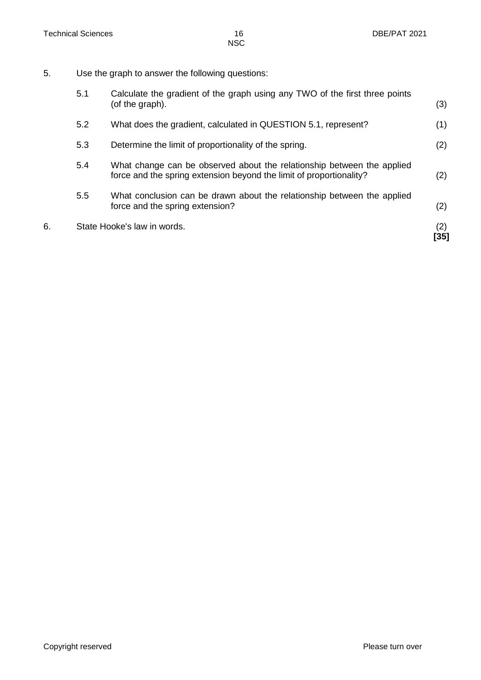5. Use the graph to answer the following questions:

| 6. |     | State Hooke's law in words.                                                                                                                   | (2)<br>[35] |
|----|-----|-----------------------------------------------------------------------------------------------------------------------------------------------|-------------|
|    | 5.5 | What conclusion can be drawn about the relationship between the applied<br>force and the spring extension?                                    | (2)         |
|    | 5.4 | What change can be observed about the relationship between the applied<br>force and the spring extension beyond the limit of proportionality? | (2)         |
|    | 5.3 | Determine the limit of proportionality of the spring.                                                                                         | (2)         |
|    | 5.2 | What does the gradient, calculated in QUESTION 5.1, represent?                                                                                | (1)         |
|    | 5.1 | Calculate the gradient of the graph using any TWO of the first three points<br>(of the graph).                                                | (3)         |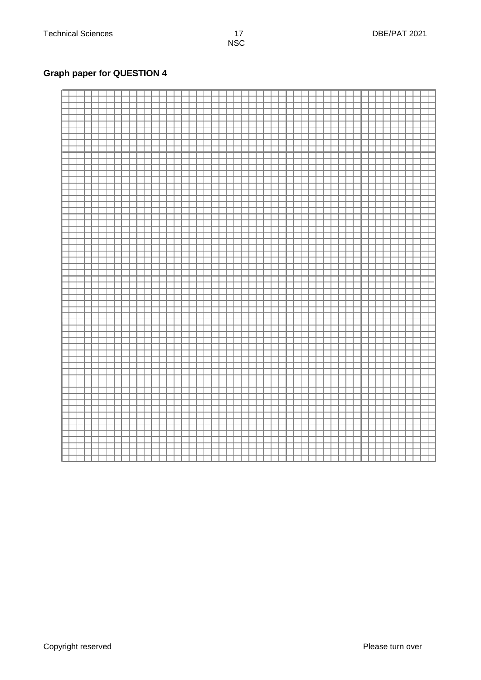#### **Graph paper for QUESTION 4**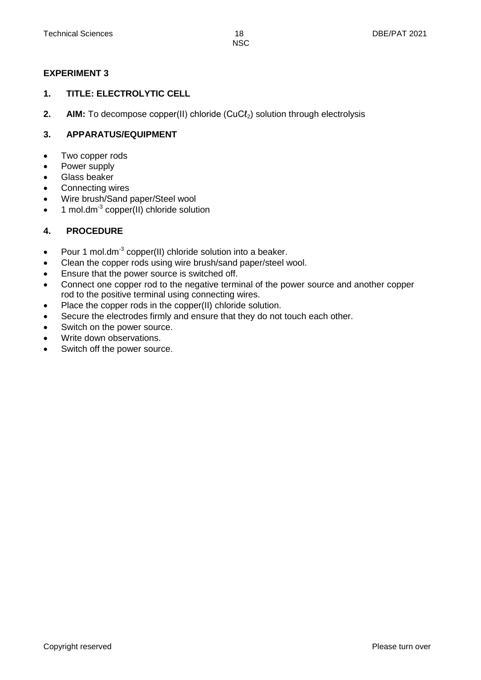#### **EXPERIMENT 3**

#### **1. TITLE: ELECTROLYTIC CELL**

**2. AIM:** To decompose copper(II) chloride (CuCl<sub>2</sub>) solution through electrolysis

#### **3. APPARATUS/EQUIPMENT**

- Two copper rods
- Power supply
- Glass beaker
- Connecting wires
- Wire brush/Sand paper/Steel wool
- $\bullet$  1 mol.dm<sup>-3</sup> copper(II) chloride solution

#### **4. PROCEDURE**

- Pour 1 mol.dm<sup>-3</sup> copper(II) chloride solution into a beaker.
- Clean the copper rods using wire brush/sand paper/steel wool.
- Ensure that the power source is switched off.
- Connect one copper rod to the negative terminal of the power source and another copper rod to the positive terminal using connecting wires.
- Place the copper rods in the copper(II) chloride solution.
- Secure the electrodes firmly and ensure that they do not touch each other.
- Switch on the power source.
- Write down observations.
- Switch off the power source.